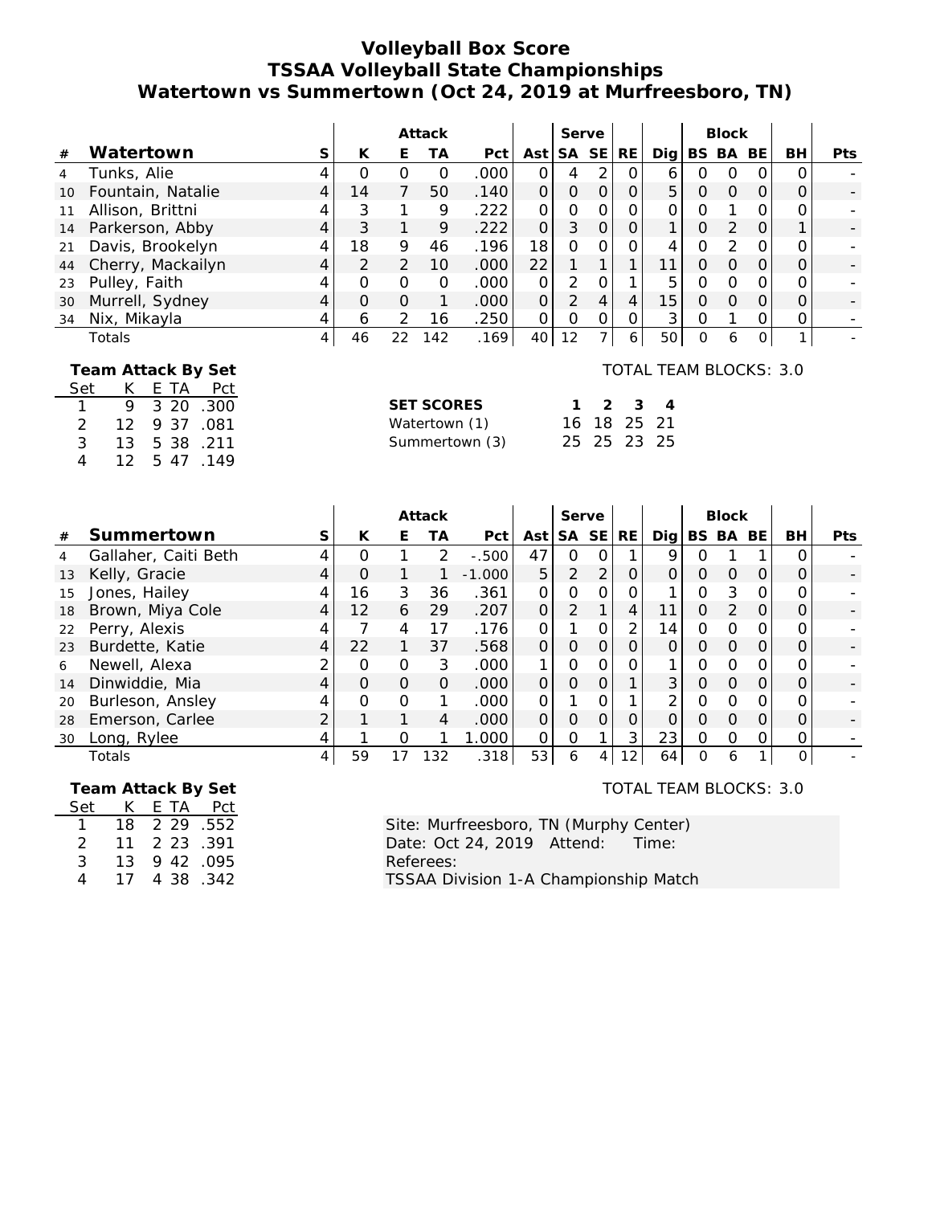### **Volleyball Box Score TSSAA Volleyball State Championships Watertown vs Summertown (Oct 24, 2019 at Murfreesboro, TN)**

|                 |                   |   |          |               | Attack |                   |          | Serve         |           |                 |   | <b>Block</b> |          |    |            |
|-----------------|-------------------|---|----------|---------------|--------|-------------------|----------|---------------|-----------|-----------------|---|--------------|----------|----|------------|
| #               | Watertown         | S | К        | Е             | ТA     | Pct               | Ast      | SA SE         | <b>RE</b> | Dig             |   | BS BA        | BE       | BH | <b>Pts</b> |
|                 | Tunks, Alie       |   | O        | O             | O      | .000 <sub>1</sub> |          | 4             | 0         | 6               | Ο | $\Omega$     | 0        |    |            |
| 10 <sup>°</sup> | Fountain, Natalie |   | 14       |               | 50     | .140              | $\Omega$ | 0             | O         | 5               | 0 | $\Omega$     | $\Omega$ |    |            |
|                 | Allison, Brittni  |   |          |               | 9      | .222              | $\Omega$ | 0             | 0         |                 |   |              |          |    |            |
| 14              | Parkerson, Abby   |   |          |               | 9      | .222              | 0        | 3             | 0         |                 | Ο |              | $\Omega$ |    |            |
| 21              | Davis, Brookelyn  |   | 18       | 9             | 46     | .196              | 18       | 0             | 0         |                 | ი |              | $\Omega$ |    |            |
| 44              | Cherry, Mackailyn | 4 |          | $\mathcal{D}$ | 10     | .000              | 22       |               |           |                 | Ο | $\Omega$     | $\Omega$ |    |            |
| 23              | Pulley, Faith     |   | ∩        | $\Omega$      | O      | .000 <sub>1</sub> |          | 2             |           | 5               | ი |              | O        |    |            |
| 30              | Murrell, Sydney   |   | $\Omega$ | $\Omega$      |        | .000 <sub>1</sub> | $\Omega$ | $\mathcal{P}$ | 4         | 15 <sub>1</sub> | O | $\Omega$     | $\Omega$ |    |            |
| 34              | Nix, Mikayla      |   | 6        |               | 16     | .250              | 0        | $\Omega$      | 0         | 3               | Ω |              |          |    |            |
|                 | Totals            | 4 | 46       | 22            | 142    | .169              | 40       | 12            | 6         | 50              | Ο | 6            | 0        |    |            |

#### **Team Attack By Set** Set K E TA Pct 1 9 3 20 .300

2 12 9 37 .081 3 13 5 38 .211 4 12 5 47 .149

| <b>SET SCORES</b> |  | $1 \t2 \t3 \t4$ |  |
|-------------------|--|-----------------|--|
| Watertown (1)     |  | 16 18 25 21     |  |
| Summertown (3)    |  | 25 25 23 25     |  |

#### TOTAL TEAM BLOCKS: 3.0

|    |                      |   |          |          | Attack        |                   |          | Serve          |                |    |                 |          | <b>Block</b>  |     |    |                          |
|----|----------------------|---|----------|----------|---------------|-------------------|----------|----------------|----------------|----|-----------------|----------|---------------|-----|----|--------------------------|
|    |                      |   |          |          |               |                   |          |                |                |    |                 |          |               |     |    |                          |
| #  | Summertown           | S | K        | E        | ТA            | Pct               | Ast      |                | SA SE          | RE | Dia l           |          | BS BA         | BE. | BH | Pts                      |
| 4  | Gallaher, Caiti Beth | 4 | Ω        |          | $\mathcal{P}$ | $-0.500$          | 47       | Ο              | $\Omega$       |    | 9               |          |               |     |    |                          |
| 13 | Kelly, Gracie        | 4 | O        |          |               | $-1.000$          | 5        | $\overline{2}$ | 2 <sub>1</sub> | O  | $\Omega$        | 0        | O             |     |    | $\qquad \qquad -$        |
| 15 | Jones, Hailey        |   | 16       | 3        | 36            | .361              | $\Omega$ | O              |                | 0  |                 | Ω        | 3             |     |    |                          |
| 18 | Brown, Miya Cole     | 4 | 12       | 6        | 29            | .207              | $\Omega$ | $\overline{2}$ |                | 4  | 11              | $\Omega$ | $\mathcal{P}$ |     |    | $\overline{\phantom{a}}$ |
| 22 | Perry, Alexis        | 4 | ᄀ        | 4        | 17            | .176              | O        |                | $\Omega$       | 2  | 14 <sub>1</sub> | Ω        | Ω             |     |    |                          |
| 23 | Burdette, Katie      | 4 | 22       |          | 37            | .568              | $\Omega$ | O              | $\Omega$       | 0  | 0               | $\Omega$ | Ω             |     |    | $\overline{\phantom{a}}$ |
| 6  | Newell, Alexa        |   | $\Omega$ | O        | 3             | .000 <sub>1</sub> | 1        | 0              |                | Ω  |                 | Ω        | Ω             |     |    | $\overline{\phantom{a}}$ |
| 14 | Dinwiddie, Mia       | 4 | $\Omega$ | $\Omega$ | $\Omega$      | .000              | $\Omega$ | 0              | $\Omega$       |    | 3 <sup>1</sup>  | O        | Ω             |     |    |                          |
| 20 | Burleson, Ansley     | 4 | O        | $\Omega$ |               | .000              | $\Omega$ |                |                |    | $\mathfrak{D}$  | Ω        | Ω             |     |    |                          |
| 28 | Emerson, Carlee      |   |          |          | 4             | .000              | $\Omega$ | $\Omega$       | $\Omega$       | 0  | 0               | O        | ი             |     |    |                          |
| 30 | Long, Rylee          | 4 |          | Ο        |               | .000              | $\Omega$ | O              |                | 3  | 23              | O        | ი             |     | Ο  |                          |
|    | Totals               | 4 | 59       | 17       | 132           | .318              | 53       | 6              | 4              | 12 | 64              | $\Omega$ | 6             |     | 0  |                          |
|    |                      |   |          |          |               |                   |          |                |                |    |                 |          |               |     |    |                          |

# **Team Attack By Set**

| Set           | K. | F TA | Pct       |
|---------------|----|------|-----------|
| 1.            | 18 | 2 29 | .552      |
| $\mathcal{P}$ | 11 | 2 23 | .391      |
| 3             | 13 |      | 9 42 .095 |
| 4             | 17 | 438  | .342      |

TOTAL TEAM BLOCKS: 3.0

Site: Murfreesboro, TN (Murphy Center) Date: Oct 24, 2019 Attend: Time: Referees: TSSAA Division 1-A Championship Match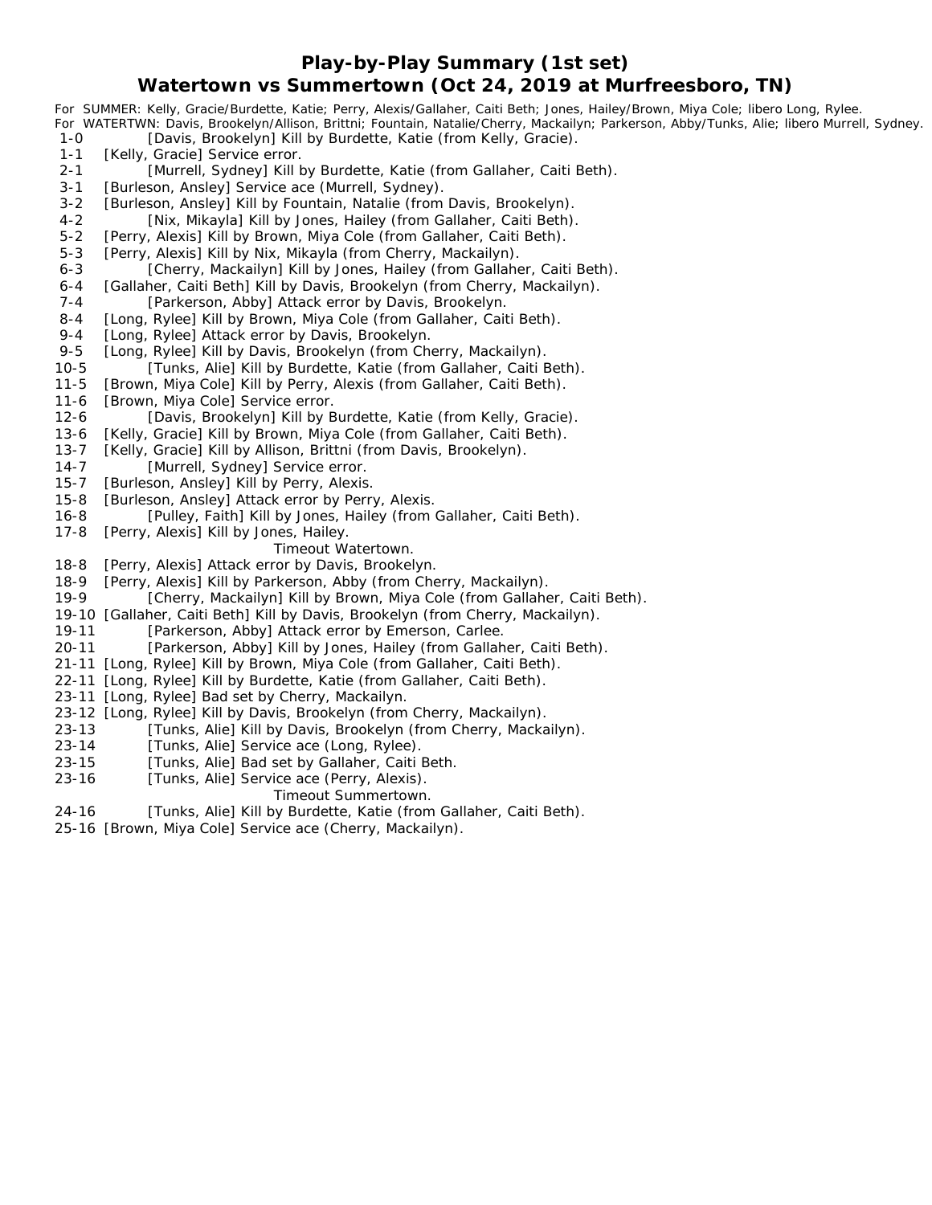### **Play-by-Play Summary (1st set) Watertown vs Summertown (Oct 24, 2019 at Murfreesboro, TN)**

*For SUMMER: Kelly, Gracie/Burdette, Katie; Perry, Alexis/Gallaher, Caiti Beth; Jones, Hailey/Brown, Miya Cole; libero Long, Rylee. For WATERTWN: Davis, Brookelyn/Allison, Brittni; Fountain, Natalie/Cherry, Mackailyn; Parkerson, Abby/Tunks, Alie; libero Murrell, Sydney.* 1-0 [Davis, Brookelyn] Kill by Burdette, Katie (from Kelly, Gracie). 1-1 [Kelly, Gracie] Service error. 2-1 [Murrell, Sydney] Kill by Burdette, Katie (from Gallaher, Caiti Beth). 3-1 [Burleson, Ansley] Service ace (Murrell, Sydney). 3-2 [Burleson, Ansley] Kill by Fountain, Natalie (from Davis, Brookelyn). 4-2 [Nix, Mikayla] Kill by Jones, Hailey (from Gallaher, Caiti Beth). 5-2 [Perry, Alexis] Kill by Brown, Miya Cole (from Gallaher, Caiti Beth). 5-3 [Perry, Alexis] Kill by Nix, Mikayla (from Cherry, Mackailyn). 6-3 [Cherry, Mackailyn] Kill by Jones, Hailey (from Gallaher, Caiti Beth). 6-4 [Gallaher, Caiti Beth] Kill by Davis, Brookelyn (from Cherry, Mackailyn). 7-4 [Parkerson, Abby] Attack error by Davis, Brookelyn. 8-4 [Long, Rylee] Kill by Brown, Miya Cole (from Gallaher, Caiti Beth). 9-4 [Long, Rylee] Attack error by Davis, Brookelyn. 9-5 [Long, Rylee] Kill by Davis, Brookelyn (from Cherry, Mackailyn). 10-5 [Tunks, Alie] Kill by Burdette, Katie (from Gallaher, Caiti Beth). 11-5 [Brown, Miya Cole] Kill by Perry, Alexis (from Gallaher, Caiti Beth). 11-6 [Brown, Miya Cole] Service error. 12-6 [Davis, Brookelyn] Kill by Burdette, Katie (from Kelly, Gracie). 13-6 [Kelly, Gracie] Kill by Brown, Miya Cole (from Gallaher, Caiti Beth). 13-7 [Kelly, Gracie] Kill by Allison, Brittni (from Davis, Brookelyn). 14-7 [Murrell, Sydney] Service error. 15-7 [Burleson, Ansley] Kill by Perry, Alexis. 15-8 [Burleson, Ansley] Attack error by Perry, Alexis. 16-8 [Pulley, Faith] Kill by Jones, Hailey (from Gallaher, Caiti Beth). 17-8 [Perry, Alexis] Kill by Jones, Hailey. *Timeout Watertown.* 18-8 [Perry, Alexis] Attack error by Davis, Brookelyn. 18-9 [Perry, Alexis] Kill by Parkerson, Abby (from Cherry, Mackailyn). 19-9 [Cherry, Mackailyn] Kill by Brown, Miya Cole (from Gallaher, Caiti Beth). 19-10 [Gallaher, Caiti Beth] Kill by Davis, Brookelyn (from Cherry, Mackailyn). 19-11 [Parkerson, Abby] Attack error by Emerson, Carlee. 20-11 [Parkerson, Abby] Kill by Jones, Hailey (from Gallaher, Caiti Beth). 21-11 [Long, Rylee] Kill by Brown, Miya Cole (from Gallaher, Caiti Beth). 22-11 [Long, Rylee] Kill by Burdette, Katie (from Gallaher, Caiti Beth). 23-11 [Long, Rylee] Bad set by Cherry, Mackailyn. 23-12 [Long, Rylee] Kill by Davis, Brookelyn (from Cherry, Mackailyn). 23-13 [Tunks, Alie] Kill by Davis, Brookelyn (from Cherry, Mackailyn). 23-14 [Tunks, Alie] Service ace (Long, Rylee). 23-15 [Tunks, Alie] Bad set by Gallaher, Caiti Beth. 23-16 [Tunks, Alie] Service ace (Perry, Alexis).

- *Timeout Summertown.*
- 24-16 [Tunks, Alie] Kill by Burdette, Katie (from Gallaher, Caiti Beth).
- 
- 25-16 [Brown, Miya Cole] Service ace (Cherry, Mackailyn).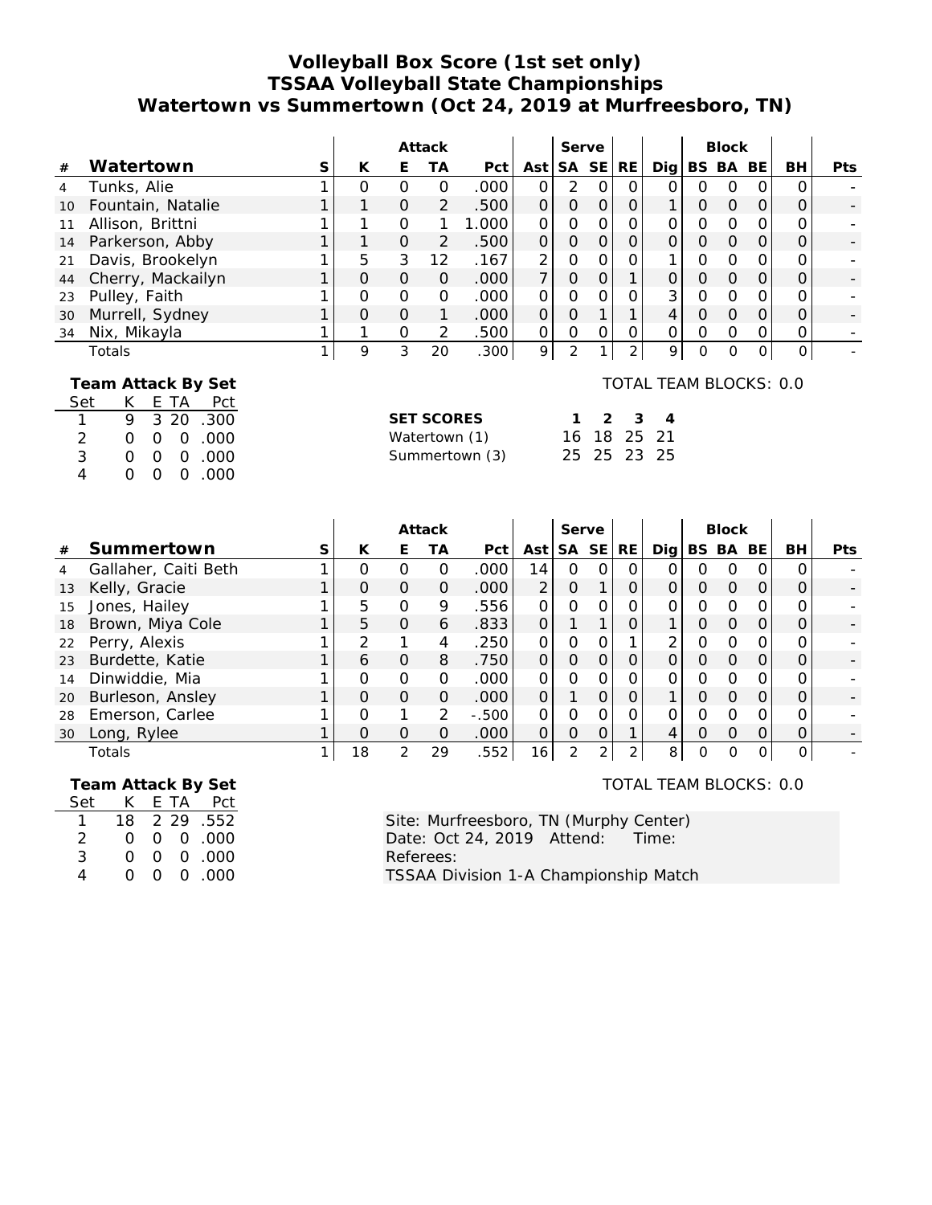## **Volleyball Box Score (1st set only) TSSAA Volleyball State Championships Watertown vs Summertown (Oct 24, 2019 at Murfreesboro, TN)**

|                 |                    |   |          |          | Attack        |       |                | Serve    |          |     |     |                  | <b>Block</b> |          |     |            |
|-----------------|--------------------|---|----------|----------|---------------|-------|----------------|----------|----------|-----|-----|------------------|--------------|----------|-----|------------|
| #               | Watertown          | S | К        | Е        | ТA            | Pct   | Ast l          |          | SA SE    | RE. | Dig |                  | BS BA        | BE.      | BH. | <b>Pts</b> |
| 4               | Tunks, Alie        |   | O        | O        | Ο             | .000  | 0              | 2        | O        | Ο   | 0   | $\left( \right)$ | O            | $\Omega$ |     |            |
| 10 <sup>°</sup> | Fountain, Natalie  |   |          | $\Omega$ | 2             | .500  | 0              | $\Omega$ | $\Omega$ | 0   |     | 0                | $\Omega$     | $\Omega$ |     |            |
| 11              | Allison, Brittni   |   |          | $\Omega$ |               | 1.000 | 0              | 0        | Ο        | 0   | 0   | Ο                | O            | Ω        |     |            |
|                 | 14 Parkerson, Abby |   |          | $\Omega$ | 2             | .500  | $\Omega$       | $\Omega$ | $\Omega$ | 0   | 0   | 0                | $\Omega$     | $\Omega$ |     |            |
| 21              | Davis, Brookelyn   |   | 5        | 3        | 12            | .167  | 2              | 0        | Ο        |     |     | Ω                | O            | Ω        |     |            |
| 44              | Cherry, Mackailyn  |   | $\Omega$ | $\Omega$ | $\Omega$      | .000  | $\overline{7}$ | $\Omega$ | 0        |     | 0   | 0                | $\Omega$     | $\Omega$ |     |            |
| 23              | Pulley, Faith      |   | 0        | O        | 0             | .000  | $\Omega$       | 0        | 0        | 0   | 3   | O                | $\Omega$     | Ω        |     |            |
| 30              | Murrell, Sydney    |   | $\Omega$ | $\Omega$ |               | .000  | $\Omega$       | $\Omega$ |          |     | 4   | $\Omega$         | $\Omega$     | $\Omega$ |     |            |
| 34              | Nix, Mikayla       |   |          | Ω        | $\mathcal{P}$ | .500  | 0              | O        |          |     | 0   | O                | O            |          |     |            |
|                 | Totals             |   | 9        | 3        | 20            | .300  | 9              |          |          | ◠   | 9   | 0                | O            | O        |     |            |
|                 |                    |   |          |          |               |       |                |          |          |     |     |                  |              |          |     |            |

### **Team Attack By Set**

| Set            | K. |    | E TA Pct               |
|----------------|----|----|------------------------|
| 1              | 9  |    | 3 20 .300              |
| 2              | O. |    | 000.000                |
| 3              | 0. |    | $0 \quad 0 \quad .000$ |
| $\overline{4}$ | ∩. | 0. | 0.000                  |

| <b>SET SCORES</b> |  | $1 \t2 \t3 \t4$ |  |
|-------------------|--|-----------------|--|
| Watertown (1)     |  | 16 18 25 21     |  |
| Summertown (3)    |  | 25 25 23 25     |  |

| $\sim$ $\sim$ $\sim$ $\sim$ |  |  |  |
|-----------------------------|--|--|--|

TOTAL TEAM BLOCKS: 0.0

|                |                      |   |          |          | Attack        |          |                 | Serve         |           |          |       |   | <b>Block</b> |           |    |            |
|----------------|----------------------|---|----------|----------|---------------|----------|-----------------|---------------|-----------|----------|-------|---|--------------|-----------|----|------------|
| #              | Summertown           | S | K        | E.       | TА            | Pct      | Ast             | SA            | <b>SE</b> | RE.      | Dia l |   | BS BA        | <b>BE</b> | BH | <b>Pts</b> |
| $\overline{4}$ | Gallaher, Caiti Beth |   | Ω        | O        | 0             | .000     | 14              | Ο             |           | 0        |       | N |              |           |    |            |
| 13             | Kelly, Gracie        |   | $\Omega$ | $\Omega$ | $\Omega$      | .000     | $\overline{2}$  | $\Omega$      |           | O        |       | Ω | $\Omega$     |           |    |            |
| 15             | Jones, Hailey        |   | 5        | $\Omega$ | 9             | .556     |                 | ∩             | O         | 0        |       | 0 | $\Omega$     |           | ი  |            |
| 18             | Brown, Miya Cole     |   | 5        | $\Omega$ | 6             | .833     | 0               |               |           |          |       | 0 | $\Omega$     |           |    |            |
| 22             | Perry, Alexis        |   | っ        |          | 4             | .250     | O               | ი             |           |          | ⌒     | O |              |           |    |            |
| 23             | Burdette, Katie      |   | 6        | $\Omega$ | 8             | .750     | $\Omega$        | $\Omega$      | $\Omega$  | $\Omega$ |       | Ω | $\Omega$     |           |    |            |
| 14             | Dinwiddie, Mia       |   | Ω        | $\Omega$ | $\Omega$      | .000     | O               | ი             |           |          |       | O | $\Omega$     |           |    |            |
| 20             | Burleson, Ansley     |   | Ο        | $\Omega$ | $\Omega$      | .000     | $\overline{O}$  |               | $\Omega$  |          |       | 0 | $\Omega$     | Ο         |    |            |
| 28             | Emerson, Carlee      |   | 0        | ◢        | $\mathcal{P}$ | $-0.500$ | ∩               | O             | $\Omega$  | 0        |       | ი |              |           |    |            |
| 30             | Long, Rylee          |   | Ω        | $\Omega$ | 0             | .000     | ∩               | O             | O         |          |       | ი | $\Omega$     |           |    |            |
|                | Totals               |   | 18       | 2        | 29            | .552     | 16 <sub>1</sub> | $\mathcal{P}$ | 2         | ⌒        | 8     | ი |              |           | 0  |            |

## **Team Attack By Set** Set K E TA Pct

| $\mathbf{1}$ |  | 18 2 29 .552        |
|--------------|--|---------------------|
| 2            |  | $0 \t0 \t0 \t000$   |
| 3            |  | $0 \t0 \t0 \t0.000$ |
| 4            |  | $0 \t0 \t0 \t0.000$ |

TOTAL TEAM BLOCKS: 0.0

Site: Murfreesboro, TN (Murphy Center)<br>Date: Oct 24, 2019 Attend: Time: Date: Oct 24, 2019 Attend: Referees: TSSAA Division 1-A Championship Match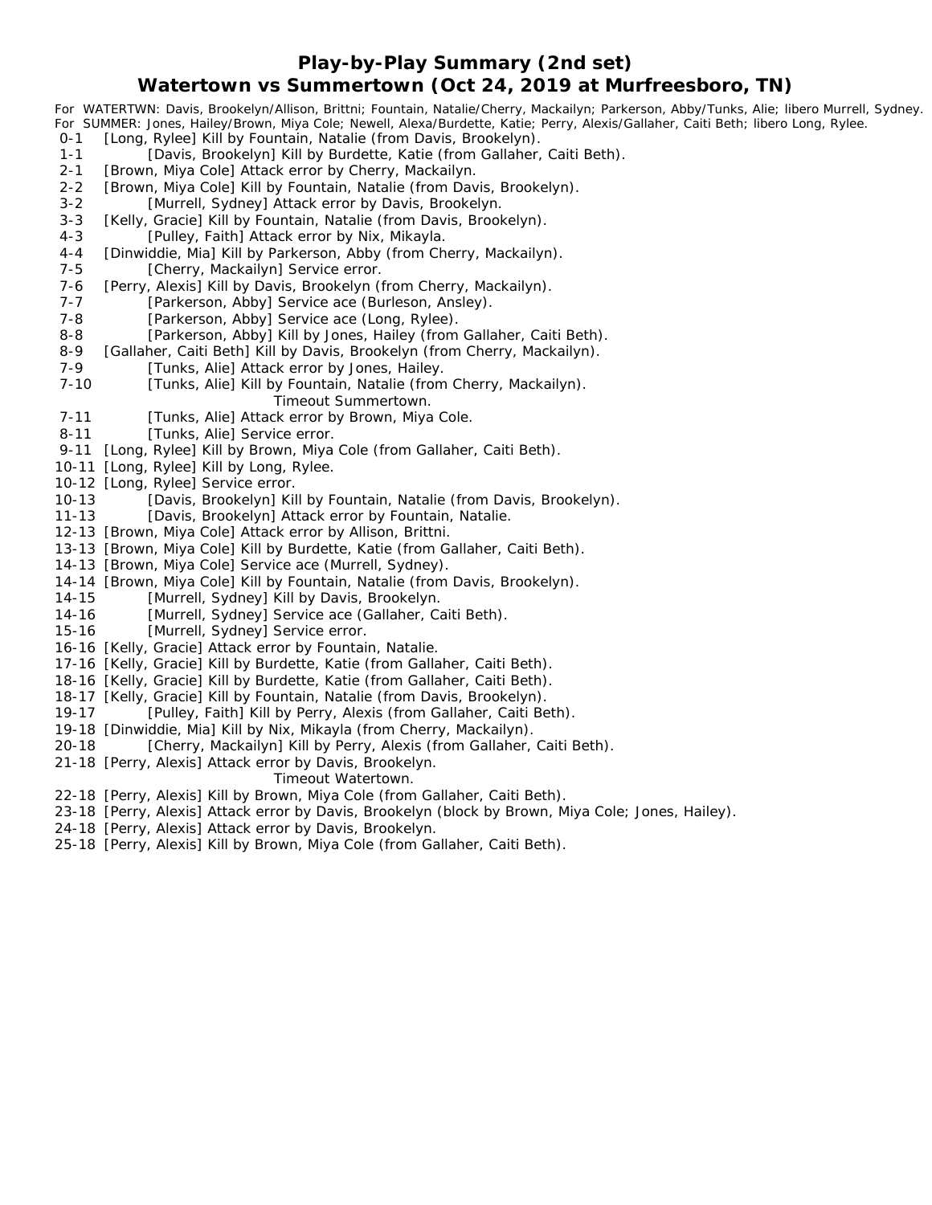#### **Play-by-Play Summary (2nd set)**

#### **Watertown vs Summertown (Oct 24, 2019 at Murfreesboro, TN)**

*For WATERTWN: Davis, Brookelyn/Allison, Brittni; Fountain, Natalie/Cherry, Mackailyn; Parkerson, Abby/Tunks, Alie; libero Murrell, Sydney. For SUMMER: Jones, Hailey/Brown, Miya Cole; Newell, Alexa/Burdette, Katie; Perry, Alexis/Gallaher, Caiti Beth; libero Long, Rylee.* 0-1 [Long, Rylee] Kill by Fountain, Natalie (from Davis, Brookelyn). 1-1 [Davis, Brookelyn] Kill by Burdette, Katie (from Gallaher, Caiti Beth). 2-1 [Brown, Miya Cole] Attack error by Cherry, Mackailyn. 2-2 [Brown, Miya Cole] Kill by Fountain, Natalie (from Davis, Brookelyn). 3-2 [Murrell, Sydney] Attack error by Davis, Brookelyn. 3-3 [Kelly, Gracie] Kill by Fountain, Natalie (from Davis, Brookelyn). 4-3 [Pulley, Faith] Attack error by Nix, Mikayla. 4-4 [Dinwiddie, Mia] Kill by Parkerson, Abby (from Cherry, Mackailyn). 7-5 [Cherry, Mackailyn] Service error. 7-6 [Perry, Alexis] Kill by Davis, Brookelyn (from Cherry, Mackailyn). 7-7 [Parkerson, Abby] Service ace (Burleson, Ansley). 7-8 [Parkerson, Abby] Service ace (Long, Rylee). 8-8 [Parkerson, Abby] Kill by Jones, Hailey (from Gallaher, Caiti Beth). 8-9 [Gallaher, Caiti Beth] Kill by Davis, Brookelyn (from Cherry, Mackailyn). 7-9 [Tunks, Alie] Attack error by Jones, Hailey. 7-10 [Tunks, Alie] Kill by Fountain, Natalie (from Cherry, Mackailyn). *Timeout Summertown.* 7-11 [Tunks, Alie] Attack error by Brown, Miya Cole. 8-11 [Tunks, Alie] Service error. 9-11 [Long, Rylee] Kill by Brown, Miya Cole (from Gallaher, Caiti Beth).

- 10-11 [Long, Rylee] Kill by Long, Rylee.
- 10-12 [Long, Rylee] Service error.
- 10-13 [Davis, Brookelyn] Kill by Fountain, Natalie (from Davis, Brookelyn).
- 11-13 [Davis, Brookelyn] Attack error by Fountain, Natalie.
- 12-13 [Brown, Miya Cole] Attack error by Allison, Brittni.
- 13-13 [Brown, Miya Cole] Kill by Burdette, Katie (from Gallaher, Caiti Beth).
- 14-13 [Brown, Miya Cole] Service ace (Murrell, Sydney).
- 14-14 [Brown, Miya Cole] Kill by Fountain, Natalie (from Davis, Brookelyn).
- 14-15 [Murrell, Sydney] Kill by Davis, Brookelyn.
- 14-16 [Murrell, Sydney] Service ace (Gallaher, Caiti Beth).
- 15-16 [Murrell, Sydney] Service error.
- 16-16 [Kelly, Gracie] Attack error by Fountain, Natalie.
- 17-16 [Kelly, Gracie] Kill by Burdette, Katie (from Gallaher, Caiti Beth).
- 18-16 [Kelly, Gracie] Kill by Burdette, Katie (from Gallaher, Caiti Beth).
- 18-17 [Kelly, Gracie] Kill by Fountain, Natalie (from Davis, Brookelyn).
- 19-17 [Pulley, Faith] Kill by Perry, Alexis (from Gallaher, Caiti Beth).
- 19-18 [Dinwiddie, Mia] Kill by Nix, Mikayla (from Cherry, Mackailyn).
- 20-18 [Cherry, Mackailyn] Kill by Perry, Alexis (from Gallaher, Caiti Beth).
- 21-18 [Perry, Alexis] Attack error by Davis, Brookelyn.

#### *Timeout Watertown.*

- 22-18 [Perry, Alexis] Kill by Brown, Miya Cole (from Gallaher, Caiti Beth).
- 23-18 [Perry, Alexis] Attack error by Davis, Brookelyn (block by Brown, Miya Cole; Jones, Hailey).
- 24-18 [Perry, Alexis] Attack error by Davis, Brookelyn.
- 25-18 [Perry, Alexis] Kill by Brown, Miya Cole (from Gallaher, Caiti Beth).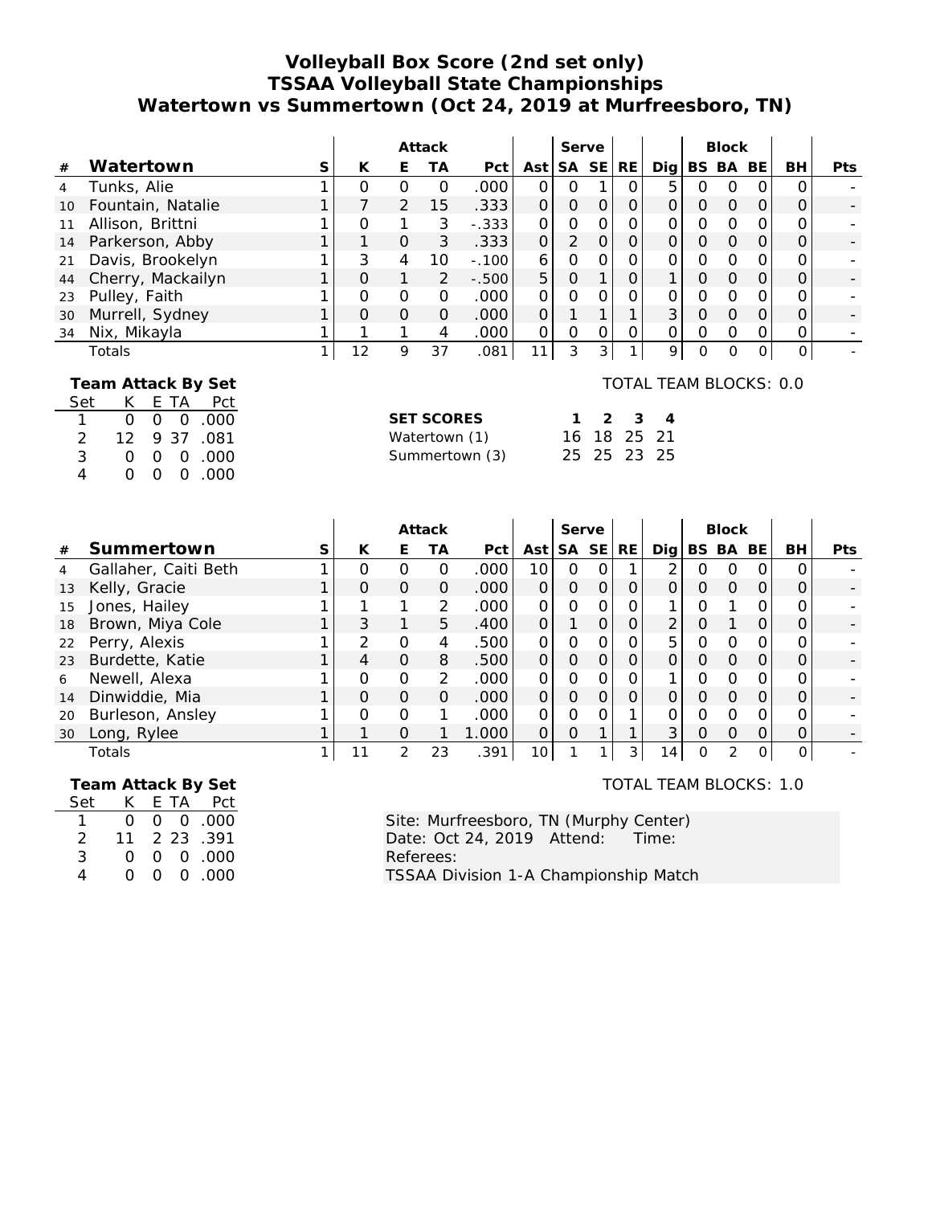## **Volleyball Box Score (2nd set only) TSSAA Volleyball State Championships Watertown vs Summertown (Oct 24, 2019 at Murfreesboro, TN)**

|                |                    |   |          |          | Attack   |                   |          | Serve          |          |     |                        |          | <b>Block</b> |          |    |            |
|----------------|--------------------|---|----------|----------|----------|-------------------|----------|----------------|----------|-----|------------------------|----------|--------------|----------|----|------------|
| #              | Watertown          | S | К        | E        | TА       | Pct               | Ast      | SA SE          |          | RE. | Dia l                  | BS.      | BA           | BE.      | BH | <b>Pts</b> |
| $\overline{4}$ | Tunks, Alie        |   | O        | O        | $\Omega$ | .000              | 0        | O              |          |     | 5                      | 0        | O            | Ο        |    |            |
| 10             | Fountain, Natalie  |   |          | 2        | 15       | .333              | 0        | 0              | $\Omega$ | 0   | 0                      | Ο        | $\Omega$     | 0        | 0  |            |
| 11             | Allison, Brittni   |   | O        | 1        | 3        | $-.333$           | Ω        | Ο              | O        | O   | Ω                      | 0        | $\Omega$     |          |    |            |
| 14             | Parkerson, Abby    |   |          | $\Omega$ | 3        | .333              | $\Omega$ | $\overline{2}$ | $\Omega$ | O   | $\Omega$               | O        | $\Omega$     | O        | Ο  |            |
| 21             | Davis, Brookelyn   |   | 3        | 4        | 10       | $-.100$           | 6        | Ο              | Ω        |     | Ω                      | O        | $\Omega$     | Ω        | Ω  |            |
| 44             | Cherry, Mackailyn  |   | $\Omega$ | 1        | 2        | $-.500$           | 5        | $\Omega$       |          | 0   |                        | O        | $\Omega$     | 0        | 0  |            |
| 23             | Pulley, Faith      |   | O        | $\Omega$ | $\Omega$ | .000              | $\Omega$ | 0              |          |     | 0                      | 0        | $\Omega$     | 0        | Ο  |            |
| 30             | Murrell, Sydney    |   | $\Omega$ | $\Omega$ | $\Omega$ | .000              | $\Omega$ |                |          |     | 3                      | $\Omega$ | $\Omega$     | $\Omega$ | Ο  |            |
| 34             | Nix, Mikayla       |   |          |          | 4        | .000 <sub>1</sub> | 0        | O              | O        | 0   | 0                      | O        | $\Omega$     |          | Ο  |            |
|                | Totals             |   | 12       | 9        | 37       | .081              | 11       | 3              | 3        | 1   | 9                      | 0        | $\Omega$     |          | 0  |            |
|                | Team Attack By Set |   |          |          |          |                   |          |                |          |     | TOTAL TEAM BLOCKS: 0.0 |          |              |          |    |            |

#### **Team Attack By Set**

|     |          |          |                | $1$ cannot consider by soll |  |
|-----|----------|----------|----------------|-----------------------------|--|
| Set | K.       |          |                | E TA Pct                    |  |
|     | ∩.       |          |                | 000.000                     |  |
| 2   | 12       |          |                | 9 37 .081                   |  |
| 3   | Ω        |          |                | $0 \t0 \t.000$              |  |
| 4   | $\Omega$ | $\Omega$ | $\overline{0}$ | .000                        |  |

| <b>SET SCORES</b> |  | $1 \t2 \t3 \t4$ |  |
|-------------------|--|-----------------|--|
| Watertown (1)     |  | 16 18 25 21     |  |
| Summertown (3)    |  | 25 25 23 25     |  |

|    |                      | Attack   |          |               | Serve             |                |          |           |                | <b>Block</b>    |          |               |          |     |            |
|----|----------------------|----------|----------|---------------|-------------------|----------------|----------|-----------|----------------|-----------------|----------|---------------|----------|-----|------------|
| #  | Summertown           | К        | E        | ТA            | Pct               | Ast            | SA.      | <b>SE</b> | RE             | Dia l           | BS.      | BA            | BE       | BH. | <b>Pts</b> |
| 4  | Gallaher, Caiti Beth | Ω        |          | Ο             | .000 <sub>1</sub> | 10             | Ω        | Ω         |                | っ               | O        | O             | $\Omega$ |     |            |
| 13 | Kelly, Gracie        | $\Omega$ | $\Omega$ | $\Omega$      | .000              | 0              | $\Omega$ | $\Omega$  | Ο              | 0               | $\Omega$ | $\Omega$      | $\Omega$ |     |            |
| 15 | Jones, Hailey        |          |          | 2             | .000 <sub>1</sub> | 0              | O        | Ο         | Ο              |                 | O        |               |          |     |            |
| 18 | Brown, Miya Cole     | 3        |          | 5             | .400              | $\overline{O}$ |          | 0         | 0              | 2               | O        |               | $\Omega$ |     |            |
| 22 | Perry, Alexis        | っ        | $\Omega$ | 4             | .500              | 0              | 0        | Ω         | Ω              | 5               | $\Omega$ | ∩             | $\Omega$ |     |            |
| 23 | Burdette, Katie      | 4        | $\Omega$ | 8             | .500              | $\Omega$       | $\Omega$ | $\Omega$  | O              | 0               | $\Omega$ | $\Omega$      | $\Omega$ |     |            |
| 6  | Newell, Alexa        | O        | $\Omega$ | $\mathcal{L}$ | .000              | 0              | $\Omega$ | Ω         | O              |                 | $\Omega$ | $\Omega$      |          |     |            |
| 14 | Dinwiddie, Mia       | O        | O        | $\Omega$      | .000              | $\Omega$       | $\Omega$ | $\Omega$  | O              | 0               | $\Omega$ | $\Omega$      | $\Omega$ |     |            |
| 20 | Burleson, Ansley     | Ω        | $\Omega$ |               | .000              | $\Omega$       | 0        | Ω         |                |                 | O        | ∩             |          |     |            |
| 30 | Long, Rylee          |          | $\Omega$ |               | 1.000             | $\Omega$       | O        |           |                | 3               | $\Omega$ | $\Omega$      | $\Omega$ |     |            |
|    | Totals               |          | っ        | 23            | .391              | 10             |          |           | 3 <sup>1</sup> | 14 <sub>1</sub> | Ο        | $\mathcal{D}$ | $\Omega$ |     |            |

#### **Team Attack By Set**

| Set | K        |    | E TA Pct       |
|-----|----------|----|----------------|
|     | ∩        |    | $0 \t0 \t.000$ |
| 2   | 11       |    | 2 23 .391      |
| 3   | $\Omega$ |    | 00.00          |
| 4   | ∩        | 0. | 0 .000         |

# TOTAL TEAM BLOCKS: 1.0

Site: Murfreesboro, TN (Murphy Center)<br>Date: Oct 24, 2019 Attend: Time: Date: Oct 24, 2019 Attend: Referees: TSSAA Division 1-A Championship Match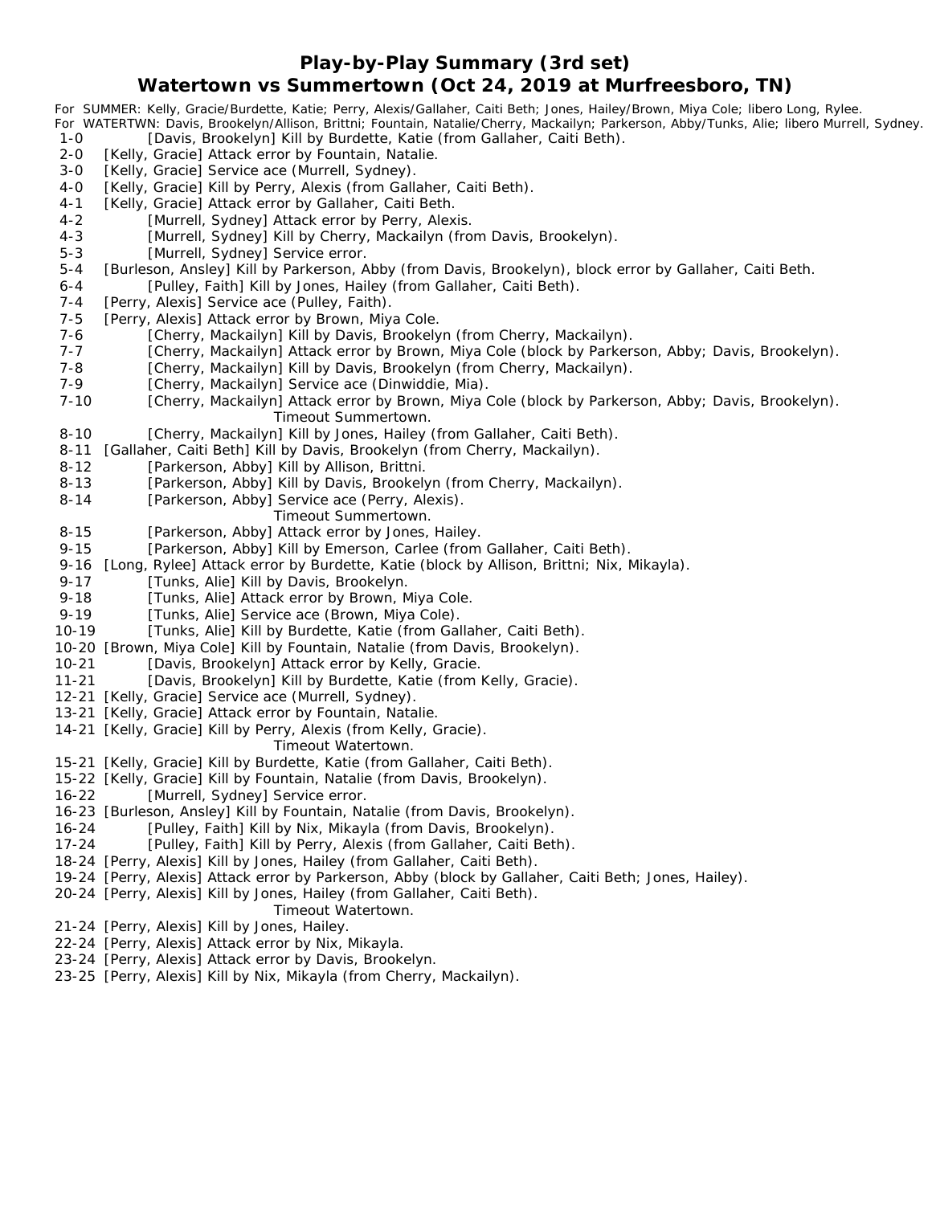**Play-by-Play Summary (3rd set)**

### **Watertown vs Summertown (Oct 24, 2019 at Murfreesboro, TN)**

|           | For SUMMER: Kelly, Gracie/Burdette, Katie; Perry, Alexis/Gallaher, Caiti Beth; Jones, Hailey/Brown, Miya Cole; libero Long, Rylee.         |
|-----------|--------------------------------------------------------------------------------------------------------------------------------------------|
|           | For WATERTWN: Davis, Brookelyn/Allison, Brittni; Fountain, Natalie/Cherry, Mackailyn; Parkerson, Abby/Tunks, Alie; libero Murrell, Sydney. |
| $1 - 0$   | [Davis, Brookelyn] Kill by Burdette, Katie (from Gallaher, Caiti Beth).                                                                    |
| $2 - 0$   | [Kelly, Gracie] Attack error by Fountain, Natalie.                                                                                         |
| $3 - 0$   | [Kelly, Gracie] Service ace (Murrell, Sydney).                                                                                             |
| $4-0$     | [Kelly, Gracie] Kill by Perry, Alexis (from Gallaher, Caiti Beth).                                                                         |
| $4 - 1$   | [Kelly, Gracie] Attack error by Gallaher, Caiti Beth.                                                                                      |
| $4 - 2$   | [Murrell, Sydney] Attack error by Perry, Alexis.                                                                                           |
| $4 - 3$   | [Murrell, Sydney] Kill by Cherry, Mackailyn (from Davis, Brookelyn).                                                                       |
| $5 - 3$   | [Murrell, Sydney] Service error.                                                                                                           |
| $5 - 4$   | [Burleson, Ansley] Kill by Parkerson, Abby (from Davis, Brookelyn), block error by Gallaher, Caiti Beth.                                   |
| $6 - 4$   |                                                                                                                                            |
|           | [Pulley, Faith] Kill by Jones, Hailey (from Gallaher, Caiti Beth).                                                                         |
| $7 - 4$   | [Perry, Alexis] Service ace (Pulley, Faith).                                                                                               |
| $7 - 5$   | [Perry, Alexis] Attack error by Brown, Miya Cole.                                                                                          |
| $7 - 6$   | [Cherry, Mackailyn] Kill by Davis, Brookelyn (from Cherry, Mackailyn).                                                                     |
| $7 - 7$   | [Cherry, Mackailyn] Attack error by Brown, Miya Cole (block by Parkerson, Abby; Davis, Brookelyn).                                         |
| $7 - 8$   | [Cherry, Mackailyn] Kill by Davis, Brookelyn (from Cherry, Mackailyn).                                                                     |
| 7-9       | [Cherry, Mackailyn] Service ace (Dinwiddie, Mia).                                                                                          |
| $7 - 10$  | [Cherry, Mackailyn] Attack error by Brown, Miya Cole (block by Parkerson, Abby; Davis, Brookelyn).                                         |
|           | Timeout Summertown.                                                                                                                        |
| $8 - 10$  | [Cherry, Mackailyn] Kill by Jones, Hailey (from Gallaher, Caiti Beth).                                                                     |
| $8 - 11$  | [Gallaher, Caiti Beth] Kill by Davis, Brookelyn (from Cherry, Mackailyn).                                                                  |
| $8 - 12$  | [Parkerson, Abby] Kill by Allison, Brittni.                                                                                                |
| $8 - 13$  | [Parkerson, Abby] Kill by Davis, Brookelyn (from Cherry, Mackailyn).                                                                       |
| $8 - 14$  | [Parkerson, Abby] Service ace (Perry, Alexis).                                                                                             |
|           | Timeout Summertown.                                                                                                                        |
|           |                                                                                                                                            |
| $8 - 15$  | [Parkerson, Abby] Attack error by Jones, Hailey.                                                                                           |
| $9 - 15$  | [Parkerson, Abby] Kill by Emerson, Carlee (from Gallaher, Caiti Beth).                                                                     |
| $9 - 16$  | [Long, Rylee] Attack error by Burdette, Katie (block by Allison, Brittni; Nix, Mikayla).                                                   |
| $9 - 17$  | [Tunks, Alie] Kill by Davis, Brookelyn.                                                                                                    |
| $9 - 18$  | [Tunks, Alie] Attack error by Brown, Miya Cole.                                                                                            |
| $9 - 19$  | [Tunks, Alie] Service ace (Brown, Miya Cole).                                                                                              |
| $10 - 19$ | [Tunks, Alie] Kill by Burdette, Katie (from Gallaher, Caiti Beth).                                                                         |
| $10 - 20$ | [Brown, Miya Cole] Kill by Fountain, Natalie (from Davis, Brookelyn).                                                                      |
| $10 - 21$ | [Davis, Brookelyn] Attack error by Kelly, Gracie.                                                                                          |
| $11 - 21$ | [Davis, Brookelyn] Kill by Burdette, Katie (from Kelly, Gracie).                                                                           |
|           | 12-21 [Kelly, Gracie] Service ace (Murrell, Sydney).                                                                                       |
|           | 13-21 [Kelly, Gracie] Attack error by Fountain, Natalie.                                                                                   |
|           | 14-21 [Kelly, Gracie] Kill by Perry, Alexis (from Kelly, Gracie).                                                                          |
|           | Timeout Watertown.                                                                                                                         |
|           | 15-21 [Kelly, Gracie] Kill by Burdette, Katie (from Gallaher, Caiti Beth).                                                                 |
|           | 15-22 [Kelly, Gracie] Kill by Fountain, Natalie (from Davis, Brookelyn).                                                                   |
| $16 - 22$ |                                                                                                                                            |
|           | [Murrell, Sydney] Service error.                                                                                                           |
|           | 16-23 [Burleson, Ansley] Kill by Fountain, Natalie (from Davis, Brookelyn).                                                                |
| $16 - 24$ | [Pulley, Faith] Kill by Nix, Mikayla (from Davis, Brookelyn).                                                                              |
| $17 - 24$ | [Pulley, Faith] Kill by Perry, Alexis (from Gallaher, Caiti Beth).                                                                         |
|           | 18-24 [Perry, Alexis] Kill by Jones, Hailey (from Gallaher, Caiti Beth).                                                                   |
|           | 19-24 [Perry, Alexis] Attack error by Parkerson, Abby (block by Gallaher, Caiti Beth; Jones, Hailey).                                      |
|           | 20-24 [Perry, Alexis] Kill by Jones, Hailey (from Gallaher, Caiti Beth).                                                                   |
|           | Timeout Watertown.                                                                                                                         |
|           | 21-24 [Perry, Alexis] Kill by Jones, Hailey.                                                                                               |
|           | 22-24 [Perry, Alexis] Attack error by Nix, Mikayla.                                                                                        |
|           | 23-24 [Perry, Alexis] Attack error by Davis, Brookelyn.                                                                                    |

23-25 [Perry, Alexis] Kill by Nix, Mikayla (from Cherry, Mackailyn).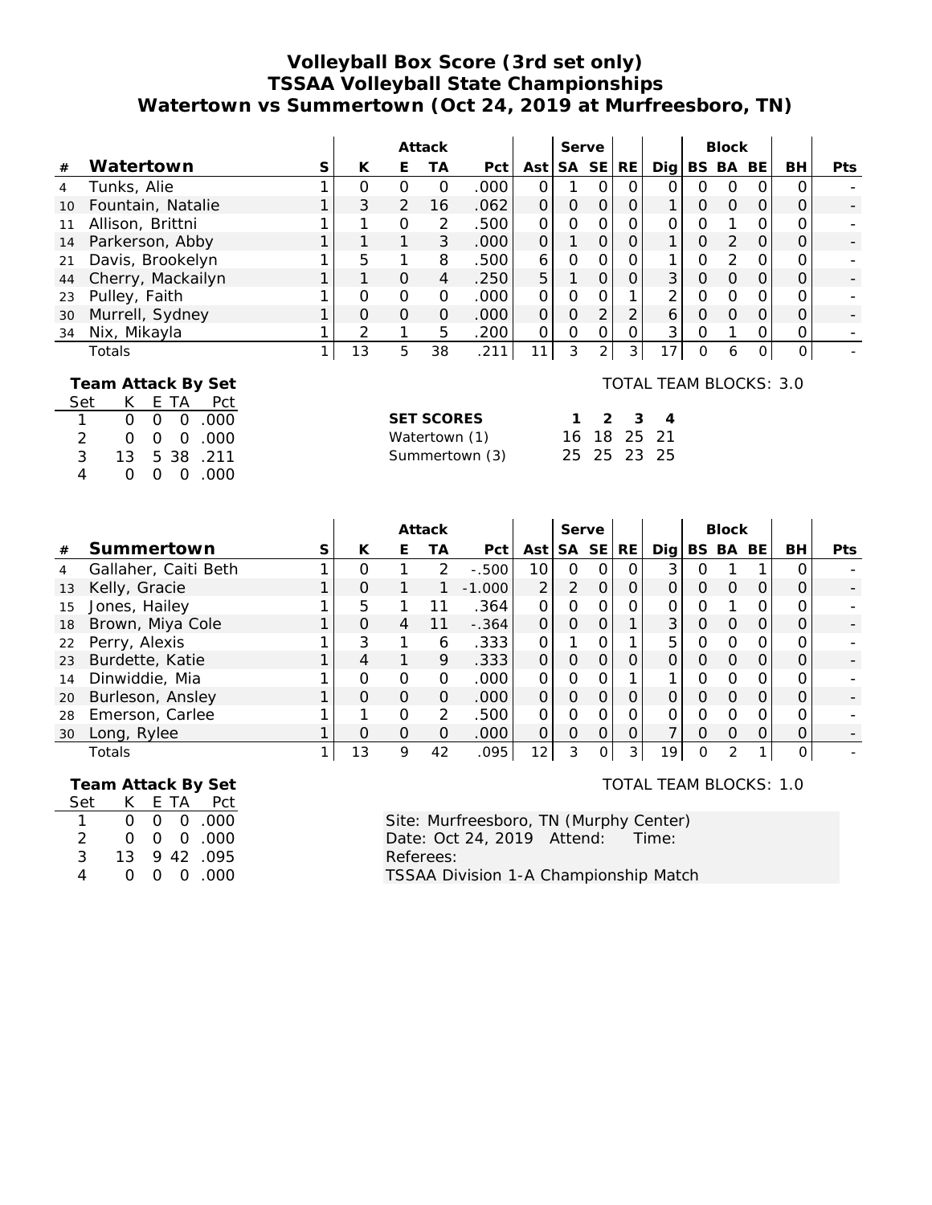## **Volleyball Box Score (3rd set only) TSSAA Volleyball State Championships Watertown vs Summertown (Oct 24, 2019 at Murfreesboro, TN)**

|                                             |                   |   | Attack   |          | Serve    |      |     | <b>Block</b> |           |     |                        |          |          |           |           |            |
|---------------------------------------------|-------------------|---|----------|----------|----------|------|-----|--------------|-----------|-----|------------------------|----------|----------|-----------|-----------|------------|
| #                                           | Watertown         | S | К        | E        | ТA       | Pct  | Ast | <b>SA</b>    | <b>SE</b> | RE. | Dia l                  |          | BS BA    | <b>BE</b> | <b>BH</b> | <b>Pts</b> |
| $\overline{4}$                              | Tunks, Alie       |   | O        | $\Omega$ | $\Omega$ | .000 | Ο   |              | O         | Ο   | 0                      | Ο        | $\Omega$ | Ο         | 0         |            |
| 10                                          | Fountain, Natalie |   | 3        | 2        | 16       | .062 | 0   | 0            | $\Omega$  | 0   |                        | O        | $\Omega$ | $\Omega$  | Ο         |            |
| 11                                          | Allison, Brittni  |   |          | $\Omega$ | 2        | .500 | Ο   | 0            | 0         |     | ი                      | 0        |          |           |           |            |
| 14                                          | Parkerson, Abby   |   | 1        | 1        | 3        | .000 | O   |              | 0         | 0   |                        | $\Omega$ | 2        | $\Omega$  | Ο         |            |
| 21                                          | Davis, Brookelyn  |   | 5        |          | 8        | .500 | 6   | O            | 0         |     |                        | 0        | 2        | Ο         | Ο         |            |
| 44                                          | Cherry, Mackailyn |   | 1        | $\Omega$ | 4        | .250 | 5   |              | $\Omega$  | 0   | 3                      | O        | $\Omega$ | $\Omega$  | 0         |            |
| 23                                          | Pulley, Faith     |   | O        | 0        | $\Omega$ | .000 | Ο   | 0            |           |     | 2                      | 0        | $\Omega$ |           | Ο         |            |
| 30                                          | Murrell, Sydney   |   | $\Omega$ | $\Omega$ | $\Omega$ | .000 | 0   | 0            | 2         | 2   | 6                      | O        | $\Omega$ | O         | Ο         |            |
| 34                                          | Nix, Mikayla      |   | 2        |          | 5        | .200 | 0   | $\Omega$     | 0         |     | 3                      | Ο        |          |           | 0         |            |
|                                             | Totals            |   | 13       | 5        | 38       | .211 | 11  | 3            | 2         | 3   | 7                      | O        | 6        |           | 0         |            |
| Team Attack By Set<br>Pct<br>Set<br>E<br>ТA |                   |   |          |          |          |      |     |              |           |     | TOTAL TEAM BLOCKS: 3.0 |          |          |           |           |            |

| Set           |    |  | EIA PCI                |
|---------------|----|--|------------------------|
| $\mathbf{1}$  |    |  | 000.000                |
| $\mathcal{P}$ | ∩  |  | $0\quad 0\quad .000$   |
| 3             |    |  | 13 5 38 .211           |
| 4             | 0. |  | $0 \quad 0 \quad .000$ |

| <b>SET SCORES</b> |  | $1 \t2 \t3 \t4$ |  |
|-------------------|--|-----------------|--|
| Watertown (1)     |  | 16 18 25 21     |  |
| Summertown (3)    |  | 25 25 23 25     |  |

|    |                      |   | Attack   |          |               | Serve             |          |          | <b>Block</b> |          |     |   |       |    |           |            |
|----|----------------------|---|----------|----------|---------------|-------------------|----------|----------|--------------|----------|-----|---|-------|----|-----------|------------|
| #  | Summertown           | S | К        | Е        | ТA            | Pct               | Ast      | SA SE    |              | RE.      | Dig |   | BS BA | BE | <b>BH</b> | <b>Pts</b> |
| 4  | Gallaher, Caiti Beth |   |          |          | $\mathcal{P}$ | $-.500$           | 10       | Ω        |              | $\Omega$ | 3   |   |       |    |           |            |
| 13 | Kelly, Gracie        |   | $\Omega$ |          |               | $-1.000$          | 2        | 2        | $\Omega$     |          |     | ი |       |    |           |            |
| 15 | Jones, Hailey        |   | 5        |          |               | .364              | 0        | Ω        |              |          |     | ი |       |    |           |            |
| 18 | Brown, Miya Cole     |   | $\Omega$ | 4        | 11            | $-.364$           | $\Omega$ | 0        |              |          | 3   | Ο |       |    |           |            |
| 22 | Perry, Alexis        |   | 3        |          | 6             | .333              | $\Omega$ |          |              |          | 5   |   |       |    |           |            |
| 23 | Burdette, Katie      |   |          |          | 9             | .333              | $\Omega$ | $\Omega$ |              |          |     | 0 |       |    |           |            |
| 14 | Dinwiddie, Mia       |   |          | $\Omega$ | Ο             | .000              | ∩        | O        |              |          |     |   |       |    |           |            |
| 20 | Burleson, Ansley     |   | ∩        | $\Omega$ | O             | .000              | $\Omega$ | Ω        | $\Omega$     | 0        |     |   |       |    |           |            |
| 28 | Emerson, Carlee      |   |          | $\Omega$ | フ             | .500              | O        | Ω        |              |          |     | ∩ |       |    |           |            |
| 30 | Long, Rylee          |   | ∩        | $\Omega$ | O             | .000 <sub>1</sub> |          | Ω        | $\Omega$     | $\Omega$ |     | ი |       |    |           |            |
|    | Totals               |   | 13       | 9        | 42            | 095               | 12       | 3        |              | 3        | 19  | ∩ |       |    |           |            |

 **Team Attack By Set** Set K E TA Pct 1 0 0 0 . 0 0 0 2 0 0 0 . 0 0 0

3 13 9 42 .095 4 0 0 0 . 0 0 0

TOTAL TEAM BLOCKS: 1.0

Site: Murfreesboro, TN (Murphy Center)<br>Date: Oct 24, 2019 Attend: Time: Date: Oct 24, 2019 Attend: Referees: TSSAA Division 1-A Championship Match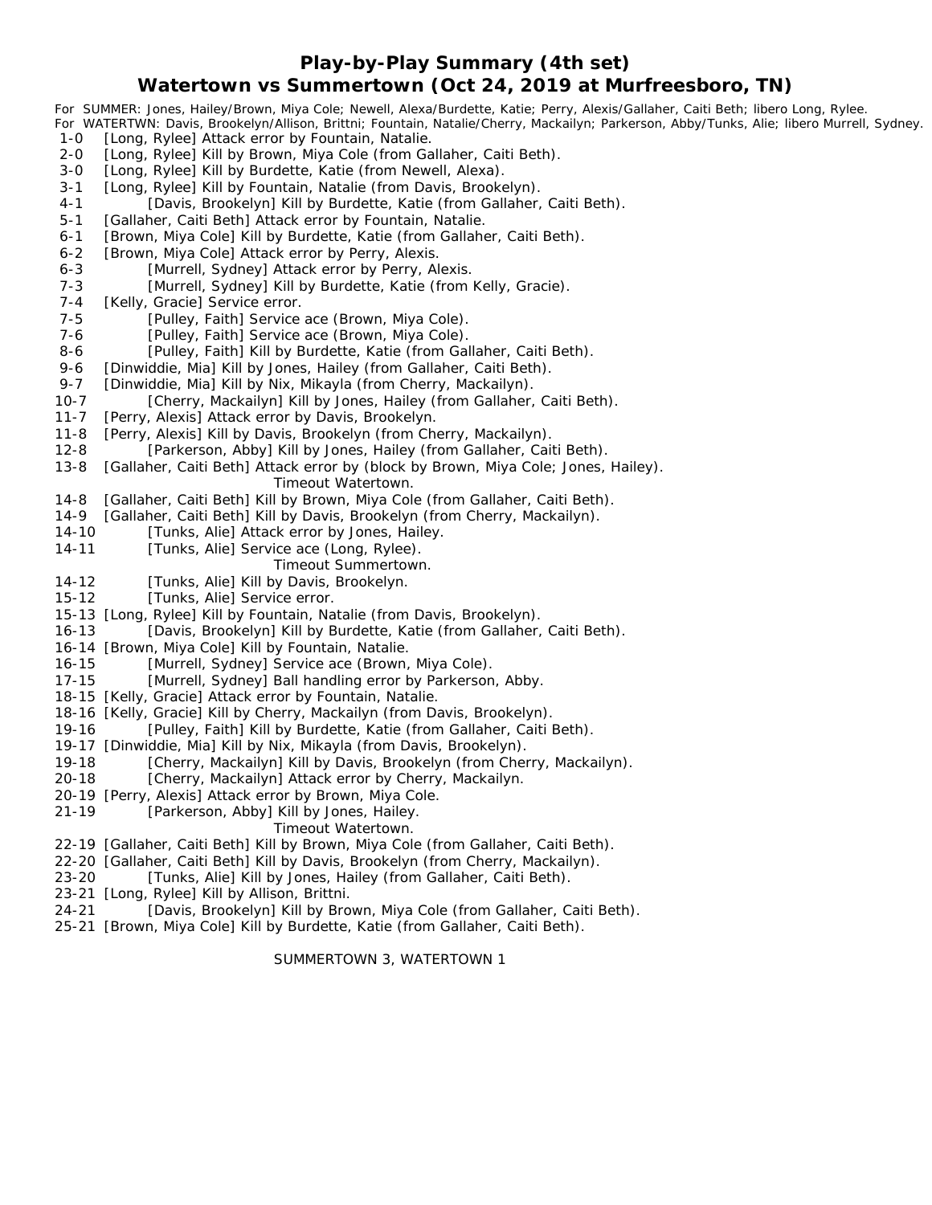**Play-by-Play Summary (4th set)**

### **Watertown vs Summertown (Oct 24, 2019 at Murfreesboro, TN)**

*For SUMMER: Jones, Hailey/Brown, Miya Cole; Newell, Alexa/Burdette, Katie; Perry, Alexis/Gallaher, Caiti Beth; libero Long, Rylee. For WATERTWN: Davis, Brookelyn/Allison, Brittni; Fountain, Natalie/Cherry, Mackailyn; Parkerson, Abby/Tunks, Alie; libero Murrell, Sydney.* 1-0 [Long, Rylee] Attack error by Fountain, Natalie. 2-0 [Long, Rylee] Kill by Brown, Miya Cole (from Gallaher, Caiti Beth). 3-0 [Long, Rylee] Kill by Burdette, Katie (from Newell, Alexa). 3-1 [Long, Rylee] Kill by Fountain, Natalie (from Davis, Brookelyn). 4-1 [Davis, Brookelyn] Kill by Burdette, Katie (from Gallaher, Caiti Beth). 5-1 [Gallaher, Caiti Beth] Attack error by Fountain, Natalie. 6-1 [Brown, Miya Cole] Kill by Burdette, Katie (from Gallaher, Caiti Beth). 6-2 [Brown, Miya Cole] Attack error by Perry, Alexis. 6-3 [Murrell, Sydney] Attack error by Perry, Alexis. 7-3 [Murrell, Sydney] Kill by Burdette, Katie (from Kelly, Gracie). 7-4 [Kelly, Gracie] Service error. 7-5 [Pulley, Faith] Service ace (Brown, Miya Cole). 7-6 [Pulley, Faith] Service ace (Brown, Miya Cole). 8-6 [Pulley, Faith] Kill by Burdette, Katie (from Gallaher, Caiti Beth). 9-6 [Dinwiddie, Mia] Kill by Jones, Hailey (from Gallaher, Caiti Beth). 9-7 [Dinwiddie, Mia] Kill by Nix, Mikayla (from Cherry, Mackailyn). 10-7 [Cherry, Mackailyn] Kill by Jones, Hailey (from Gallaher, Caiti Beth). 11-7 [Perry, Alexis] Attack error by Davis, Brookelyn. 11-8 [Perry, Alexis] Kill by Davis, Brookelyn (from Cherry, Mackailyn). 12-8 [Parkerson, Abby] Kill by Jones, Hailey (from Gallaher, Caiti Beth). 13-8 [Gallaher, Caiti Beth] Attack error by (block by Brown, Miya Cole; Jones, Hailey). *Timeout Watertown.* 14-8 [Gallaher, Caiti Beth] Kill by Brown, Miya Cole (from Gallaher, Caiti Beth). 14-9 [Gallaher, Caiti Beth] Kill by Davis, Brookelyn (from Cherry, Mackailyn). 14-10 [Tunks, Alie] Attack error by Jones, Hailey. 14-11 [Tunks, Alie] Service ace (Long, Rylee). *Timeout Summertown.* 14-12 [Tunks, Alie] Kill by Davis, Brookelyn. 15-12 [Tunks, Alie] Service error. 15-13 [Long, Rylee] Kill by Fountain, Natalie (from Davis, Brookelyn). 16-13 [Davis, Brookelyn] Kill by Burdette, Katie (from Gallaher, Caiti Beth). 16-14 [Brown, Miya Cole] Kill by Fountain, Natalie. 16-15 [Murrell, Sydney] Service ace (Brown, Miya Cole). 17-15 [Murrell, Sydney] Ball handling error by Parkerson, Abby. 18-15 [Kelly, Gracie] Attack error by Fountain, Natalie. 18-16 [Kelly, Gracie] Kill by Cherry, Mackailyn (from Davis, Brookelyn). 19-16 [Pulley, Faith] Kill by Burdette, Katie (from Gallaher, Caiti Beth). 19-17 [Dinwiddie, Mia] Kill by Nix, Mikayla (from Davis, Brookelyn). 19-18 [Cherry, Mackailyn] Kill by Davis, Brookelyn (from Cherry, Mackailyn). 20-18 [Cherry, Mackailyn] Attack error by Cherry, Mackailyn. 20-19 [Perry, Alexis] Attack error by Brown, Miya Cole. 21-19 [Parkerson, Abby] Kill by Jones, Hailey. *Timeout Watertown.* 22-19 [Gallaher, Caiti Beth] Kill by Brown, Miya Cole (from Gallaher, Caiti Beth). 22-20 [Gallaher, Caiti Beth] Kill by Davis, Brookelyn (from Cherry, Mackailyn).

- 23-20 [Tunks, Alie] Kill by Jones, Hailey (from Gallaher, Caiti Beth).
- 23-21 [Long, Rylee] Kill by Allison, Brittni.
- 24-21 [Davis, Brookelyn] Kill by Brown, Miya Cole (from Gallaher, Caiti Beth).
- 25-21 [Brown, Miya Cole] Kill by Burdette, Katie (from Gallaher, Caiti Beth).

SUMMERTOWN 3, WATERTOWN 1